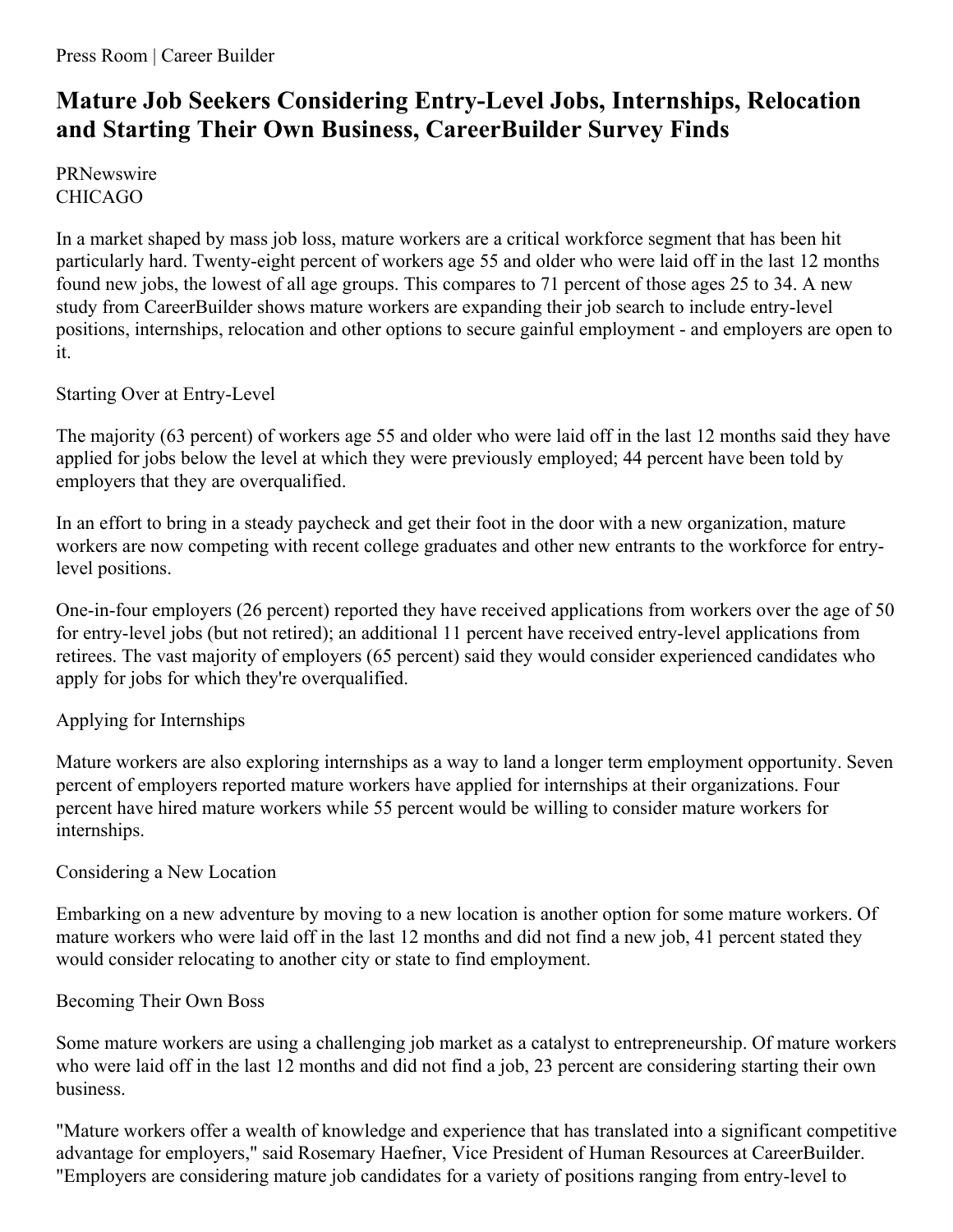# **Mature Job Seekers Considering Entry-Level Jobs, Internships, Relocation and Starting Their Own Business, CareerBuilder Survey Finds**

**PRNewswire** CHICAGO

In a market shaped by mass job loss, mature workers are a critical workforce segment that has been hit particularly hard. Twenty-eight percent of workers age 55 and older who were laid off in the last 12 months found new jobs, the lowest of all age groups. This compares to 71 percent of those ages 25 to 34. A new study from CareerBuilder shows mature workers are expanding their job search to include entry-level positions, internships, relocation and other options to secure gainful employment - and employers are open to it.

Starting Over at Entry-Level

The majority (63 percent) of workers age 55 and older who were laid off in the last 12 months said they have applied for jobs below the level at which they were previously employed; 44 percent have been told by employers that they are overqualified.

In an effort to bring in a steady paycheck and get their foot in the door with a new organization, mature workers are now competing with recent college graduates and other new entrants to the workforce for entrylevel positions.

One-in-four employers (26 percent) reported they have received applications from workers over the age of 50 for entry-level jobs (but not retired); an additional 11 percent have received entry-level applications from retirees. The vast majority of employers (65 percent) said they would consider experienced candidates who apply for jobs for which they're overqualified.

## Applying for Internships

Mature workers are also exploring internships as a way to land a longer term employment opportunity. Seven percent of employers reported mature workers have applied for internships at their organizations. Four percent have hired mature workers while 55 percent would be willing to consider mature workers for internships.

## Considering a New Location

Embarking on a new adventure by moving to a new location is another option for some mature workers. Of mature workers who were laid off in the last 12 months and did not find a new job, 41 percent stated they would consider relocating to another city or state to find employment.

## Becoming Their Own Boss

Some mature workers are using a challenging job market as a catalyst to entrepreneurship. Of mature workers who were laid off in the last 12 months and did not find a job, 23 percent are considering starting their own business.

"Mature workers offer a wealth of knowledge and experience that has translated into a significant competitive advantage for employers," said Rosemary Haefner, Vice President of Human Resources at CareerBuilder. "Employers are considering mature job candidates for a variety of positions ranging from entry-level to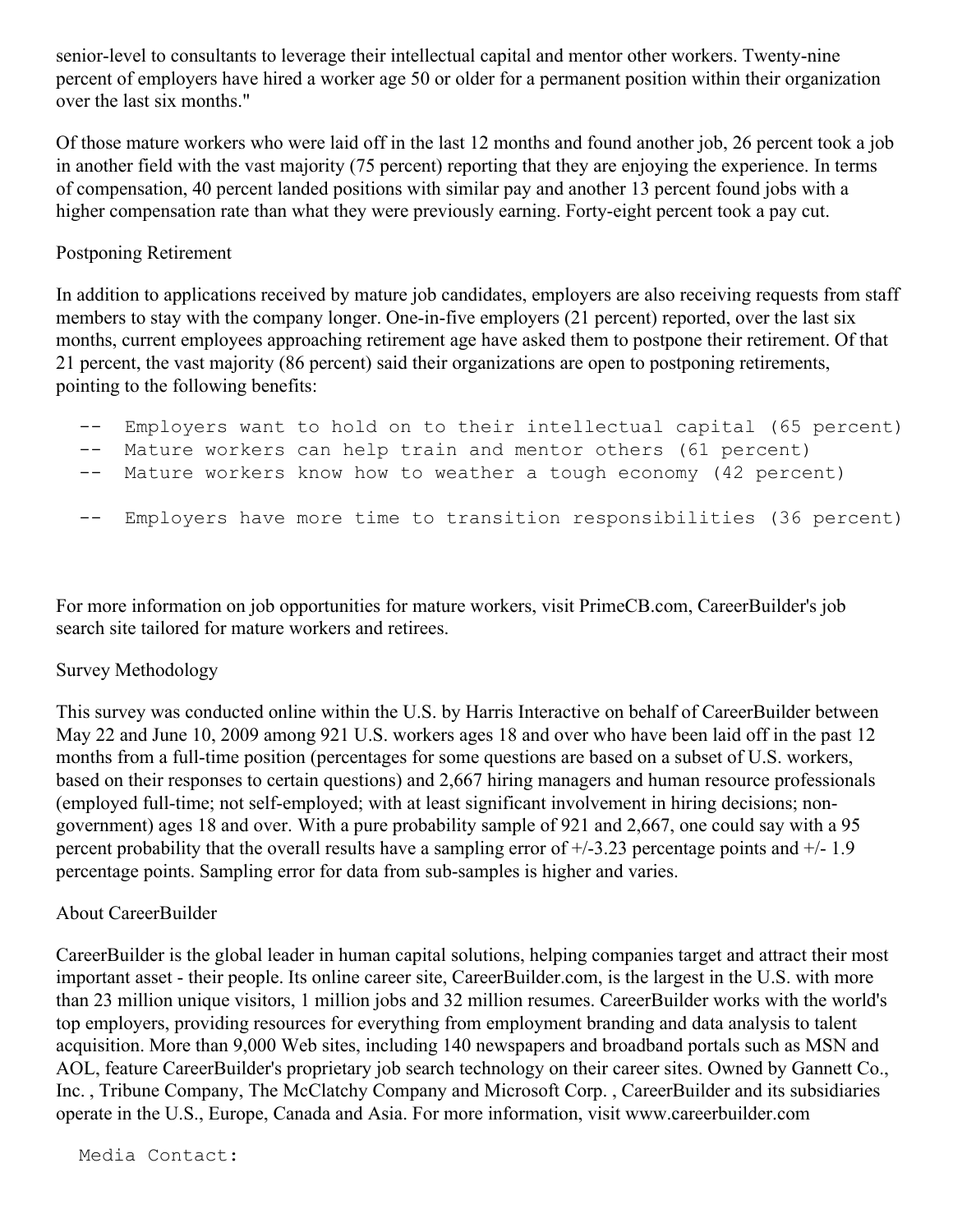senior-level to consultants to leverage their intellectual capital and mentor other workers. Twenty-nine percent of employers have hired a worker age 50 or older for a permanent position within their organization over the last six months."

Of those mature workers who were laid off in the last 12 months and found another job, 26 percent took a job in another field with the vast majority (75 percent) reporting that they are enjoying the experience. In terms of compensation, 40 percent landed positions with similar pay and another 13 percent found jobs with a higher compensation rate than what they were previously earning. Forty-eight percent took a pay cut.

### Postponing Retirement

In addition to applications received by mature job candidates, employers are also receiving requests from staff members to stay with the company longer. One-in-five employers (21 percent) reported, over the last six months, current employees approaching retirement age have asked them to postpone their retirement. Of that 21 percent, the vast majority (86 percent) said their organizations are open to postponing retirements, pointing to the following benefits:

- Employers want to hold on to their intellectual capital (65 percent)
- -- Mature workers can help train and mentor others (61 percent)
- -- Mature workers know how to weather a tough economy (42 percent)
- -- Employers have more time to transition responsibilities (36 percent)

For more information on job opportunities for mature workers, visit PrimeCB.com, CareerBuilder's job search site tailored for mature workers and retirees.

#### Survey Methodology

This survey was conducted online within the U.S. by Harris Interactive on behalf of CareerBuilder between May 22 and June 10, 2009 among 921 U.S. workers ages 18 and over who have been laid off in the past 12 months from a full-time position (percentages for some questions are based on a subset of U.S. workers, based on their responses to certain questions) and 2,667 hiring managers and human resource professionals (employed full-time; not self-employed; with at least significant involvement in hiring decisions; nongovernment) ages 18 and over. With a pure probability sample of 921 and 2,667, one could say with a 95 percent probability that the overall results have a sampling error of  $\pm$ /-3.23 percentage points and  $\pm$ /-1.9 percentage points. Sampling error for data from sub-samples is higher and varies.

#### About CareerBuilder

CareerBuilder is the global leader in human capital solutions, helping companies target and attract their most important asset - their people. Its online career site, CareerBuilder.com, is the largest in the U.S. with more than 23 million unique visitors, 1 million jobs and 32 million resumes. CareerBuilder works with the world's top employers, providing resources for everything from employment branding and data analysis to talent acquisition. More than 9,000 Web sites, including 140 newspapers and broadband portals such as MSN and AOL, feature CareerBuilder's proprietary job search technology on their career sites. Owned by Gannett Co., Inc. , Tribune Company, The McClatchy Company and Microsoft Corp. , CareerBuilder and its subsidiaries operate in the U.S., Europe, Canada and Asia. For more information, visit www.careerbuilder.com